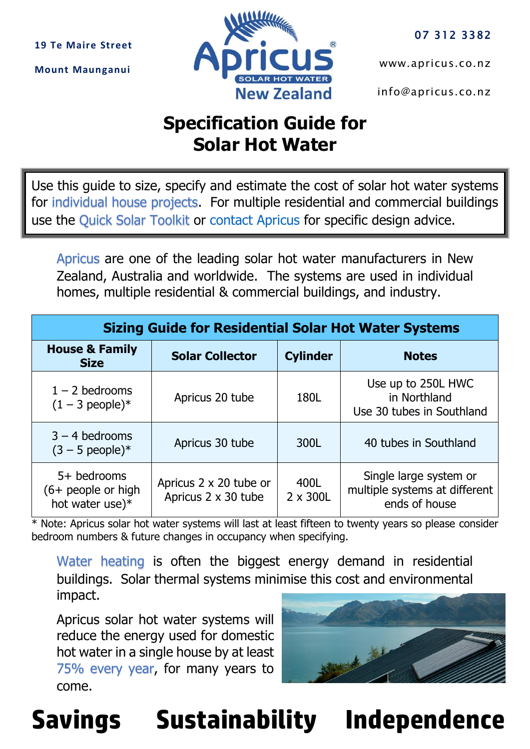**19 Te Maire Street**

**Mount Maunganui**



[www.apricus.co.nz](file:///D:/Google%20Drive/Apricus/F%20Sales/Pricing/www.apricus.co.nz) 

[info@apricus.co.nz](mailto:info@apricus.co.nz) 

## **Specification Guide for Solar Hot Water**

Use this guide to size, specify and estimate the cost of solar hot water systems for individual house projects. For multiple residential and commercial buildings use the Quick Solar Toolkit or [contact Apricus](mailto:info@apricus.co.nz) for specific design advice.

Apricus are one of the leading solar hot water manufacturers in New Zealand, Australia and worldwide. The systems are used in individual homes, multiple residential & commercial buildings, and industry.

| <b>Sizing Guide for Residential Solar Hot Water Systems</b> |                                               |                  |                                                                          |  |  |  |
|-------------------------------------------------------------|-----------------------------------------------|------------------|--------------------------------------------------------------------------|--|--|--|
| <b>House &amp; Family</b><br><b>Size</b>                    | <b>Solar Collector</b>                        | <b>Cylinder</b>  | <b>Notes</b>                                                             |  |  |  |
| $1 - 2$ bedrooms<br>$(1 - 3$ people) <sup>*</sup>           | Apricus 20 tube                               | 180L             | Use up to 250L HWC<br>in Northland<br>Use 30 tubes in Southland          |  |  |  |
| $3 - 4$ bedrooms<br>$(3 - 5$ people)*                       | Apricus 30 tube                               | 300L             | 40 tubes in Southland                                                    |  |  |  |
| 5+ bedrooms<br>$(6+$ people or high<br>hot water use)*      | Apricus 2 x 20 tube or<br>Apricus 2 x 30 tube | 400L<br>2 x 300L | Single large system or<br>multiple systems at different<br>ends of house |  |  |  |

\* Note: Apricus solar hot water systems will last at least fifteen to twenty years so please consider bedroom numbers & future changes in occupancy when specifying.

Water heating is often the biggest energy demand in residential buildings. Solar thermal systems minimise this cost and environmental impact.

Apricus solar hot water systems will reduce the energy used for domestic hot water in a single house by at least 75% every year, for many years to come.



**Savings Sustainability Independence**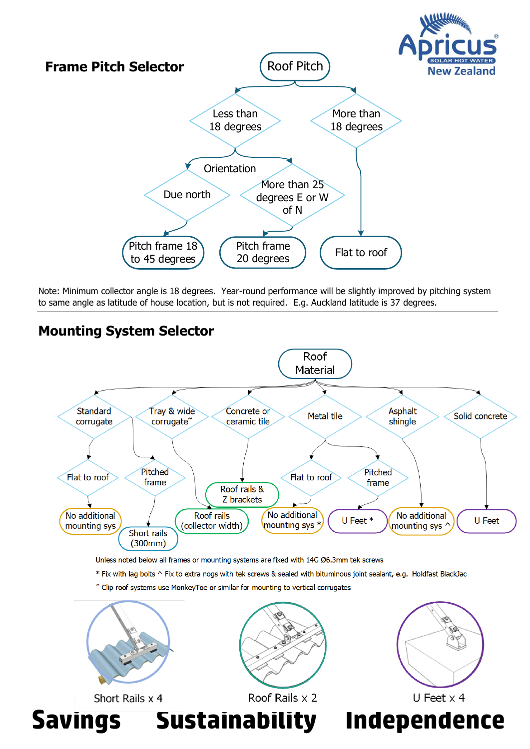

Note: Minimum collector angle is 18 degrees. Year-round performance will be slightly improved by pitching system to same angle as latitude of house location, but is not required. E.g. Auckland latitude is 37 degrees.

## **Mounting System Selector**



Unless noted below all frames or mounting systems are fixed with 14G Ø6.3mm tek screws

\* Fix with lag bolts ^ Fix to extra nogs with tek screws & sealed with bituminous joint sealant, e.g. Holdfast BlackJac

~ Clip roof systems use MonkeyToe or similar for mounting to vertical corrugates



Short Rails x 4





**Savings Sustainability Independence**



U Feet  $\times$  4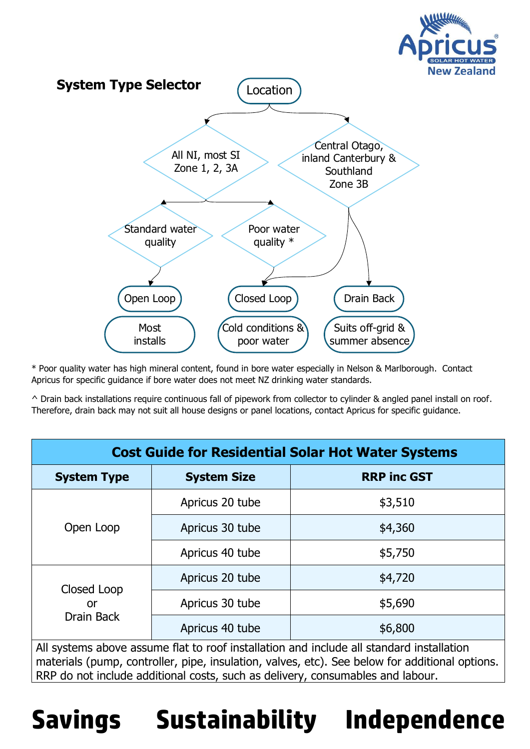

\* Poor quality water has high mineral content, found in bore water especially in Nelson & Marlborough. Contact Apricus for specific guidance if bore water does not meet NZ drinking water standards.

^ Drain back installations require continuous fall of pipework from collector to cylinder & angled panel install on roof. Therefore, drain back may not suit all house designs or panel locations, contact Apricus for specific guidance.

| <b>Cost Guide for Residential Solar Hot Water Systems</b>                                                                                                                                                                                                                    |                    |                    |  |  |
|------------------------------------------------------------------------------------------------------------------------------------------------------------------------------------------------------------------------------------------------------------------------------|--------------------|--------------------|--|--|
| <b>System Type</b>                                                                                                                                                                                                                                                           | <b>System Size</b> | <b>RRP inc GST</b> |  |  |
| Open Loop                                                                                                                                                                                                                                                                    | Apricus 20 tube    | \$3,510            |  |  |
|                                                                                                                                                                                                                                                                              | Apricus 30 tube    | \$4,360            |  |  |
|                                                                                                                                                                                                                                                                              | Apricus 40 tube    | \$5,750            |  |  |
| Closed Loop<br>or<br>Drain Back                                                                                                                                                                                                                                              | Apricus 20 tube    | \$4,720            |  |  |
|                                                                                                                                                                                                                                                                              | Apricus 30 tube    | \$5,690            |  |  |
|                                                                                                                                                                                                                                                                              | Apricus 40 tube    | \$6,800            |  |  |
| All systems above assume flat to roof installation and include all standard installation<br>materials (pump, controller, pipe, insulation, valves, etc). See below for additional options.<br>RRP do not include additional costs, such as delivery, consumables and labour. |                    |                    |  |  |

## **Savings Sustainability Independence**